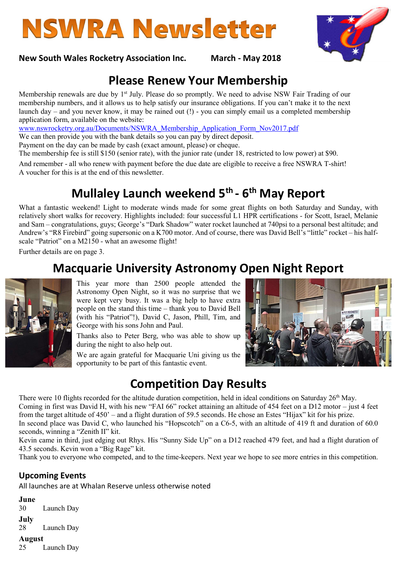# **NSWRA Newsletter**

#### New South Wales Rocketry Association Inc. March - May 2018

## Please Renew Your Membership

Membership renewals are due by 1<sup>st</sup> July. Please do so promptly. We need to advise NSW Fair Trading of our membership numbers, and it allows us to help satisfy our insurance obligations. If you can't make it to the next launch day – and you never know, it may be rained out (!) - you can simply email us a completed membership application form, available on the website:

www.nswrocketry.org.au/Documents/NSWRA\_Membership\_Application\_Form\_Nov2017.pdf

We can then provide you with the bank details so you can pay by direct deposit.

Payment on the day can be made by cash (exact amount, please) or cheque.

The membership fee is still \$150 (senior rate), with the junior rate (under 18, restricted to low power) at \$90.

And remember - all who renew with payment before the due date are eligible to receive a free NSWRA T-shirt! A voucher for this is at the end of this newsletter.

## Mullaley Launch weekend 5<sup>th</sup> - 6<sup>th</sup> May Report

What a fantastic weekend! Light to moderate winds made for some great flights on both Saturday and Sunday, with relatively short walks for recovery. Highlights included: four successful L1 HPR certifications - for Scott, Israel, Melanie and Sam – congratulations, guys; George's "Dark Shadow" water rocket launched at 740psi to a personal best altitude; and Andrew's "R8 Firebird" going supersonic on a K700 motor. And of course, there was David Bell's "little" rocket – his halfscale "Patriot" on a M2150 - what an awesome flight!

Further details are on page 3.

## Macquarie University Astronomy Open Night Report

This year more than 2500 people attended the Astronomy Open Night, so it was no surprise that we were kept very busy. It was a big help to have extra people on the stand this time – thank you to David Bell (with his "Patriot"!), David C, Jason, Phill, Tim, and George with his sons John and Paul.

Thanks also to Peter Berg, who was able to show up during the night to also help out.

We are again grateful for Macquarie Uni giving us the opportunity to be part of this fantastic event.



## Competition Day Results

There were 10 flights recorded for the altitude duration competition, held in ideal conditions on Saturday  $26<sup>th</sup>$  May. Coming in first was David H, with his new "FAI 66" rocket attaining an altitude of 454 feet on a D12 motor – just 4 feet from the target altitude of 450' – and a flight duration of 59.5 seconds. He chose an Estes "Hijax" kit for his prize. In second place was David C, who launched his "Hopscotch" on a C6-5, with an altitude of 419 ft and duration of 60.0 seconds, winning a "Zenith II" kit.

Kevin came in third, just edging out Rhys. His "Sunny Side Up" on a D12 reached 479 feet, and had a flight duration of 43.5 seconds. Kevin won a "Big Rage" kit.

Thank you to everyone who competed, and to the time-keepers. Next year we hope to see more entries in this competition.

#### Upcoming Events

All launches are at Whalan Reserve unless otherwise noted

June

30 Launch Day

July

28 Launch Day

#### August

25 Launch Day

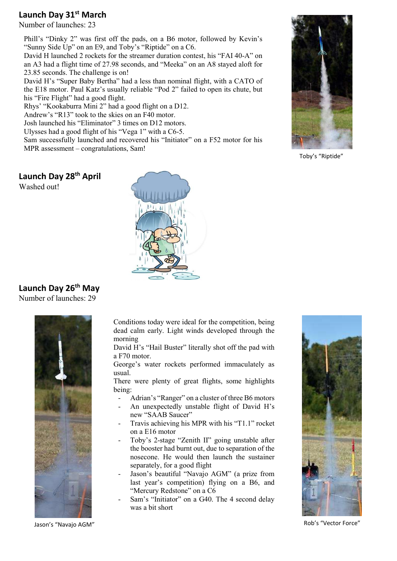#### Launch Day 31<sup>st</sup> March

Number of launches: 23

Phill's "Dinky 2" was first off the pads, on a B6 motor, followed by Kevin's "Sunny Side Up" on an E9, and Toby's "Riptide" on a C6.

David H launched 2 rockets for the streamer duration contest, his "FAI 40-A" on an A3 had a flight time of 27.98 seconds, and "Meeka" on an A8 stayed aloft for 23.85 seconds. The challenge is on!

David H's "Super Baby Bertha" had a less than nominal flight, with a CATO of the E18 motor. Paul Katz's usually reliable "Pod 2" failed to open its chute, but his "Fire Flight" had a good flight.

Rhys' "Kookaburra Mini 2" had a good flight on a D12.

Andrew's "R13" took to the skies on an F40 motor.

Josh launched his "Eliminator" 3 times on D12 motors.

Ulysses had a good flight of his "Vega 1" with a C6-5.

Sam successfully launched and recovered his "Initiator" on a F52 motor for his MPR assessment – congratulations, Sam!

Toby's "Riptide"

Launch Day 28<sup>th</sup> April



#### Launch Day 26<sup>th</sup> May

Number of launches: 29



Conditions today were ideal for the competition, being dead calm early. Light winds developed through the morning

David H's "Hail Buster" literally shot off the pad with a F70 motor.

George's water rockets performed immaculately as usual.

There were plenty of great flights, some highlights being:

- Adrian's "Ranger" on a cluster of three B6 motors
- An unexpectedly unstable flight of David H's new "SAAB Saucer"
- Travis achieving his MPR with his "T1.1" rocket on a E16 motor
- Toby's 2-stage "Zenith II" going unstable after the booster had burnt out, due to separation of the nosecone. He would then launch the sustainer separately, for a good flight
- Jason's beautiful "Navajo AGM" (a prize from last year's competition) flying on a B6, and "Mercury Redstone" on a C6
- Sam's "Initiator" on a G40. The 4 second delay was a bit short



Rob's "Vector Force"

Jason's "Navajo AGM"

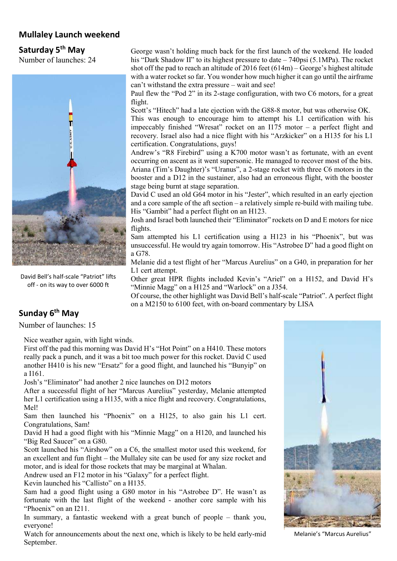#### Mullaley Launch weekend

#### Saturday 5<sup>th</sup> May

Number of launches: 24



David Bell's half-scale "Patriot" lifts off - on its way to over 6000 ft

George wasn't holding much back for the first launch of the weekend. He loaded his "Dark Shadow II" to its highest pressure to date – 740psi (5.1MPa). The rocket shot off the pad to reach an altitude of 2016 feet  $(614m)$  – George's highest altitude with a water rocket so far. You wonder how much higher it can go until the airframe can't withstand the extra pressure – wait and see!

Paul flew the "Pod 2" in its 2-stage configuration, with two C6 motors, for a great flight.

Scott's "Hitech" had a late ejection with the G88-8 motor, but was otherwise OK. This was enough to encourage him to attempt his L1 certification with his impeccably finished "Wresat" rocket on an I175 motor – a perfect flight and recovery. Israel also had a nice flight with his "Arzkicker" on a H135 for his L1 certification. Congratulations, guys!

Andrew's "R8 Firebird" using a K700 motor wasn't as fortunate, with an event occurring on ascent as it went supersonic. He managed to recover most of the bits. Ariana (Tim's Daughter)'s "Uranus", a 2-stage rocket with three C6 motors in the booster and a D12 in the sustainer, also had an erroneous flight, with the booster stage being burnt at stage separation.

David C used an old G64 motor in his "Jester", which resulted in an early ejection and a core sample of the aft section – a relatively simple re-build with mailing tube. His "Gambit" had a perfect flight on an H123.

Josh and Israel both launched their "Eliminator" rockets on D and E motors for nice flights.

Sam attempted his L1 certification using a H123 in his "Phoenix", but was unsuccessful. He would try again tomorrow. His "Astrobee D" had a good flight on a G78.

Melanie did a test flight of her "Marcus Aurelius" on a G40, in preparation for her L1 cert attempt.

Other great HPR flights included Kevin's "Ariel" on a H152, and David H's "Minnie Magg" on a H125 and "Warlock" on a J354.

Of course, the other highlight was David Bell's half-scale "Patriot". A perfect flight on a M2150 to 6100 feet, with on-board commentary by LISA

### Sunday 6<sup>th</sup> May

Number of launches: 15

Nice weather again, with light winds.

First off the pad this morning was David H's "Hot Point" on a H410. These motors really pack a punch, and it was a bit too much power for this rocket. David C used another H410 is his new "Ersatz" for a good flight, and launched his "Bunyip" on a I161.

Josh's "Eliminator" had another 2 nice launches on D12 motors

After a successful flight of her "Marcus Aurelius" yesterday, Melanie attempted her L1 certification using a H135, with a nice flight and recovery. Congratulations, Mel!

Sam then launched his "Phoenix" on a H125, to also gain his L1 cert. Congratulations, Sam!

David H had a good flight with his "Minnie Magg" on a H120, and launched his "Big Red Saucer" on a G80.

Scott launched his "Airshow" on a C6, the smallest motor used this weekend, for an excellent and fun flight – the Mullaley site can be used for any size rocket and motor, and is ideal for those rockets that may be marginal at Whalan.

Andrew used an F12 motor in his "Galaxy" for a perfect flight.

Kevin launched his "Callisto" on a H135.

Sam had a good flight using a G80 motor in his "Astrobee D". He wasn't as fortunate with the last flight of the weekend - another core sample with his "Phoenix" on an I211.

In summary, a fantastic weekend with a great bunch of people – thank you, everyone!

Watch for announcements about the next one, which is likely to be held early-mid September.



Melanie's "Marcus Aurelius"